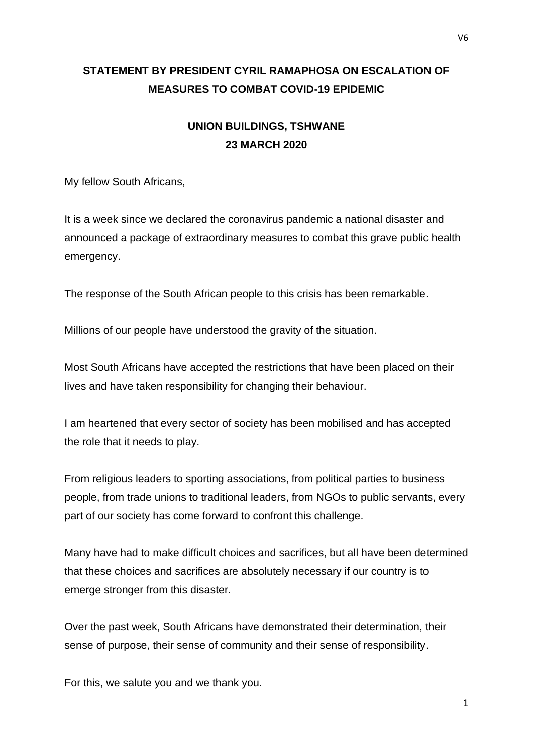## **STATEMENT BY PRESIDENT CYRIL RAMAPHOSA ON ESCALATION OF MEASURES TO COMBAT COVID-19 EPIDEMIC**

## **UNION BUILDINGS, TSHWANE 23 MARCH 2020**

My fellow South Africans,

It is a week since we declared the coronavirus pandemic a national disaster and announced a package of extraordinary measures to combat this grave public health emergency.

The response of the South African people to this crisis has been remarkable.

Millions of our people have understood the gravity of the situation.

Most South Africans have accepted the restrictions that have been placed on their lives and have taken responsibility for changing their behaviour.

I am heartened that every sector of society has been mobilised and has accepted the role that it needs to play.

From religious leaders to sporting associations, from political parties to business people, from trade unions to traditional leaders, from NGOs to public servants, every part of our society has come forward to confront this challenge.

Many have had to make difficult choices and sacrifices, but all have been determined that these choices and sacrifices are absolutely necessary if our country is to emerge stronger from this disaster.

Over the past week, South Africans have demonstrated their determination, their sense of purpose, their sense of community and their sense of responsibility.

For this, we salute you and we thank you.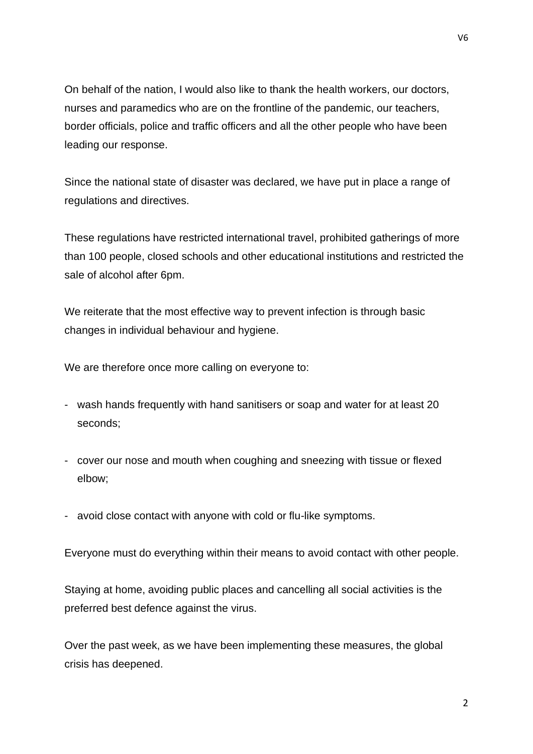On behalf of the nation, I would also like to thank the health workers, our doctors, nurses and paramedics who are on the frontline of the pandemic, our teachers, border officials, police and traffic officers and all the other people who have been leading our response.

Since the national state of disaster was declared, we have put in place a range of regulations and directives.

These regulations have restricted international travel, prohibited gatherings of more than 100 people, closed schools and other educational institutions and restricted the sale of alcohol after 6pm.

We reiterate that the most effective way to prevent infection is through basic changes in individual behaviour and hygiene.

We are therefore once more calling on everyone to:

- wash hands frequently with hand sanitisers or soap and water for at least 20 seconds;
- cover our nose and mouth when coughing and sneezing with tissue or flexed elbow;
- avoid close contact with anyone with cold or flu-like symptoms.

Everyone must do everything within their means to avoid contact with other people.

Staying at home, avoiding public places and cancelling all social activities is the preferred best defence against the virus.

Over the past week, as we have been implementing these measures, the global crisis has deepened.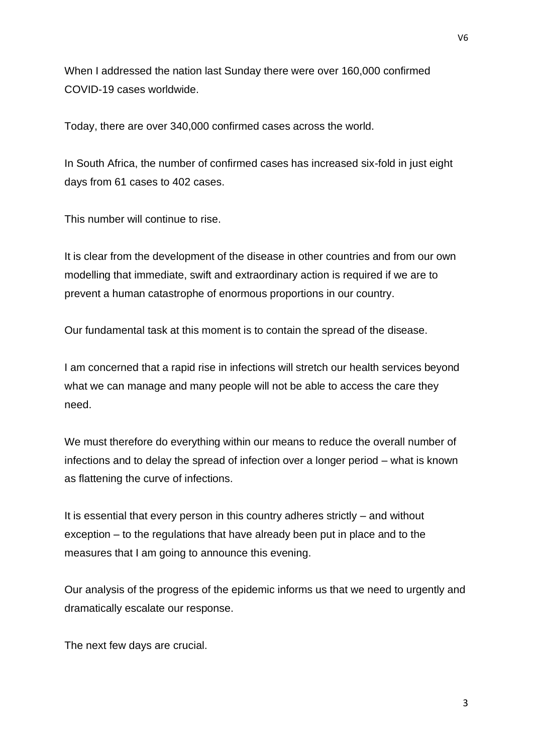When I addressed the nation last Sunday there were over 160,000 confirmed COVID-19 cases worldwide.

Today, there are over 340,000 confirmed cases across the world.

In South Africa, the number of confirmed cases has increased six-fold in just eight days from 61 cases to 402 cases.

This number will continue to rise.

It is clear from the development of the disease in other countries and from our own modelling that immediate, swift and extraordinary action is required if we are to prevent a human catastrophe of enormous proportions in our country.

Our fundamental task at this moment is to contain the spread of the disease.

I am concerned that a rapid rise in infections will stretch our health services beyond what we can manage and many people will not be able to access the care they need.

We must therefore do everything within our means to reduce the overall number of infections and to delay the spread of infection over a longer period – what is known as flattening the curve of infections.

It is essential that every person in this country adheres strictly – and without exception – to the regulations that have already been put in place and to the measures that I am going to announce this evening.

Our analysis of the progress of the epidemic informs us that we need to urgently and dramatically escalate our response.

The next few days are crucial.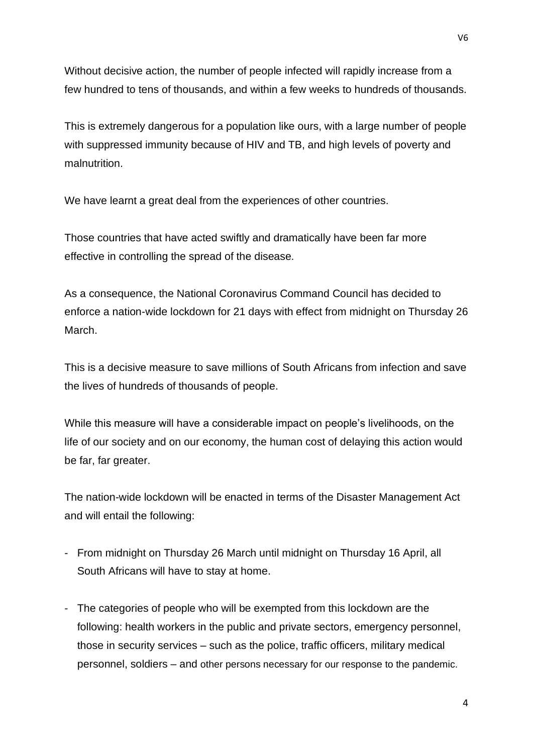Without decisive action, the number of people infected will rapidly increase from a few hundred to tens of thousands, and within a few weeks to hundreds of thousands.

This is extremely dangerous for a population like ours, with a large number of people with suppressed immunity because of HIV and TB, and high levels of poverty and malnutrition.

We have learnt a great deal from the experiences of other countries.

Those countries that have acted swiftly and dramatically have been far more effective in controlling the spread of the disease.

As a consequence, the National Coronavirus Command Council has decided to enforce a nation-wide lockdown for 21 days with effect from midnight on Thursday 26 March.

This is a decisive measure to save millions of South Africans from infection and save the lives of hundreds of thousands of people.

While this measure will have a considerable impact on people's livelihoods, on the life of our society and on our economy, the human cost of delaying this action would be far, far greater.

The nation-wide lockdown will be enacted in terms of the Disaster Management Act and will entail the following:

- From midnight on Thursday 26 March until midnight on Thursday 16 April, all South Africans will have to stay at home.
- The categories of people who will be exempted from this lockdown are the following: health workers in the public and private sectors, emergency personnel, those in security services – such as the police, traffic officers, military medical personnel, soldiers – and other persons necessary for our response to the pandemic.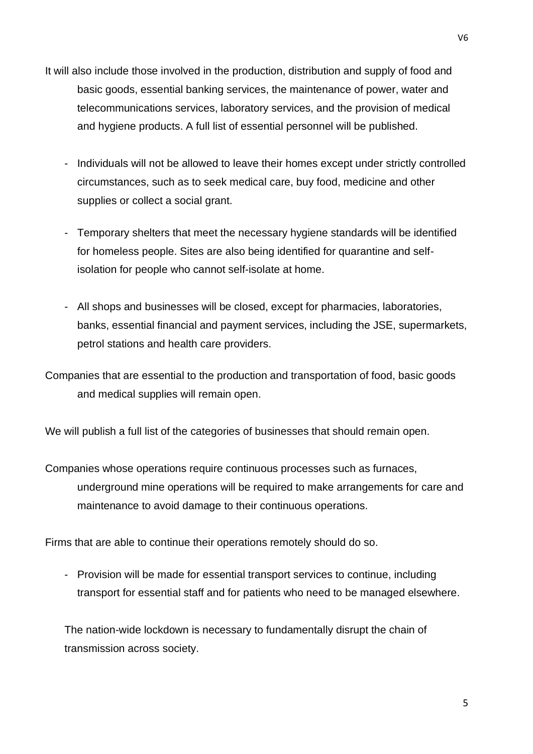- It will also include those involved in the production, distribution and supply of food and basic goods, essential banking services, the maintenance of power, water and telecommunications services, laboratory services, and the provision of medical and hygiene products. A full list of essential personnel will be published.
	- Individuals will not be allowed to leave their homes except under strictly controlled circumstances, such as to seek medical care, buy food, medicine and other supplies or collect a social grant.
	- Temporary shelters that meet the necessary hygiene standards will be identified for homeless people. Sites are also being identified for quarantine and selfisolation for people who cannot self-isolate at home.
	- All shops and businesses will be closed, except for pharmacies, laboratories, banks, essential financial and payment services, including the JSE, supermarkets, petrol stations and health care providers.
- Companies that are essential to the production and transportation of food, basic goods and medical supplies will remain open.

We will publish a full list of the categories of businesses that should remain open.

Companies whose operations require continuous processes such as furnaces, underground mine operations will be required to make arrangements for care and maintenance to avoid damage to their continuous operations.

Firms that are able to continue their operations remotely should do so.

- Provision will be made for essential transport services to continue, including transport for essential staff and for patients who need to be managed elsewhere.

The nation-wide lockdown is necessary to fundamentally disrupt the chain of transmission across society.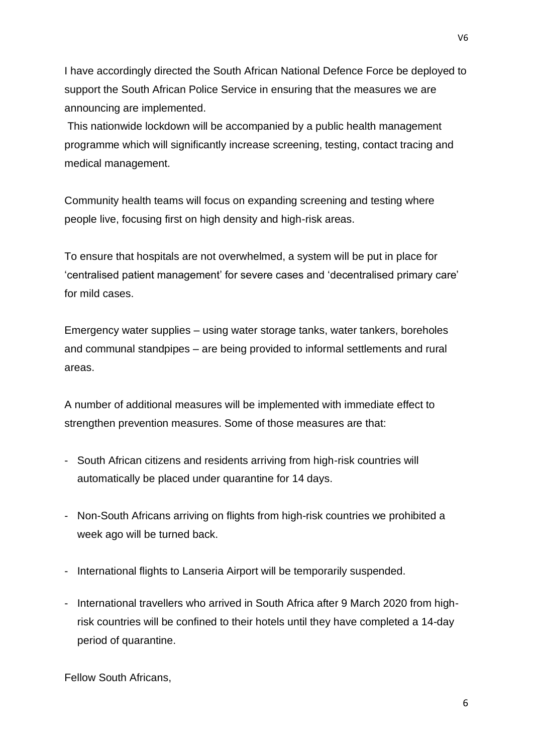I have accordingly directed the South African National Defence Force be deployed to support the South African Police Service in ensuring that the measures we are announcing are implemented.

This nationwide lockdown will be accompanied by a public health management programme which will significantly increase screening, testing, contact tracing and medical management.

Community health teams will focus on expanding screening and testing where people live, focusing first on high density and high-risk areas.

To ensure that hospitals are not overwhelmed, a system will be put in place for 'centralised patient management' for severe cases and 'decentralised primary care' for mild cases.

Emergency water supplies – using water storage tanks, water tankers, boreholes and communal standpipes – are being provided to informal settlements and rural areas.

A number of additional measures will be implemented with immediate effect to strengthen prevention measures. Some of those measures are that:

- South African citizens and residents arriving from high-risk countries will automatically be placed under quarantine for 14 days.
- Non-South Africans arriving on flights from high-risk countries we prohibited a week ago will be turned back.
- International flights to Lanseria Airport will be temporarily suspended.
- International travellers who arrived in South Africa after 9 March 2020 from highrisk countries will be confined to their hotels until they have completed a 14-day period of quarantine.

Fellow South Africans,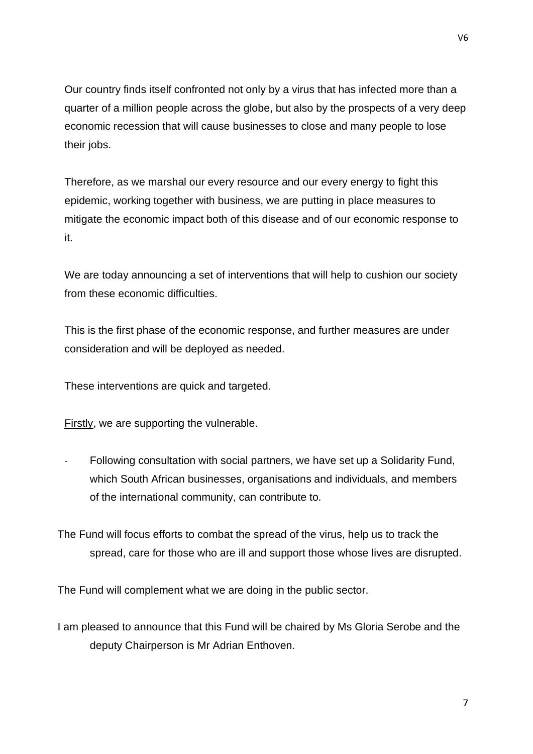Our country finds itself confronted not only by a virus that has infected more than a quarter of a million people across the globe, but also by the prospects of a very deep economic recession that will cause businesses to close and many people to lose their jobs.

Therefore, as we marshal our every resource and our every energy to fight this epidemic, working together with business, we are putting in place measures to mitigate the economic impact both of this disease and of our economic response to it.

We are today announcing a set of interventions that will help to cushion our society from these economic difficulties.

This is the first phase of the economic response, and further measures are under consideration and will be deployed as needed.

These interventions are quick and targeted.

Firstly, we are supporting the vulnerable.

- Following consultation with social partners, we have set up a Solidarity Fund, which South African businesses, organisations and individuals, and members of the international community, can contribute to.

The Fund will focus efforts to combat the spread of the virus, help us to track the spread, care for those who are ill and support those whose lives are disrupted.

The Fund will complement what we are doing in the public sector.

I am pleased to announce that this Fund will be chaired by Ms Gloria Serobe and the deputy Chairperson is Mr Adrian Enthoven.

V6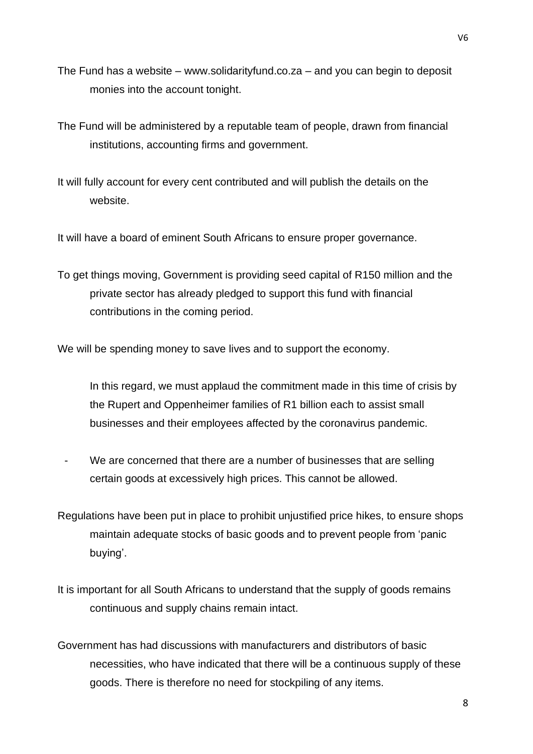- The Fund has a website www.solidarityfund.co.za and you can begin to deposit monies into the account tonight.
- The Fund will be administered by a reputable team of people, drawn from financial institutions, accounting firms and government.
- It will fully account for every cent contributed and will publish the details on the website.

It will have a board of eminent South Africans to ensure proper governance.

To get things moving, Government is providing seed capital of R150 million and the private sector has already pledged to support this fund with financial contributions in the coming period.

We will be spending money to save lives and to support the economy.

In this regard, we must applaud the commitment made in this time of crisis by the Rupert and Oppenheimer families of R1 billion each to assist small businesses and their employees affected by the coronavirus pandemic.

- We are concerned that there are a number of businesses that are selling certain goods at excessively high prices. This cannot be allowed.
- Regulations have been put in place to prohibit unjustified price hikes, to ensure shops maintain adequate stocks of basic goods and to prevent people from 'panic buying'.
- It is important for all South Africans to understand that the supply of goods remains continuous and supply chains remain intact.
- Government has had discussions with manufacturers and distributors of basic necessities, who have indicated that there will be a continuous supply of these goods. There is therefore no need for stockpiling of any items.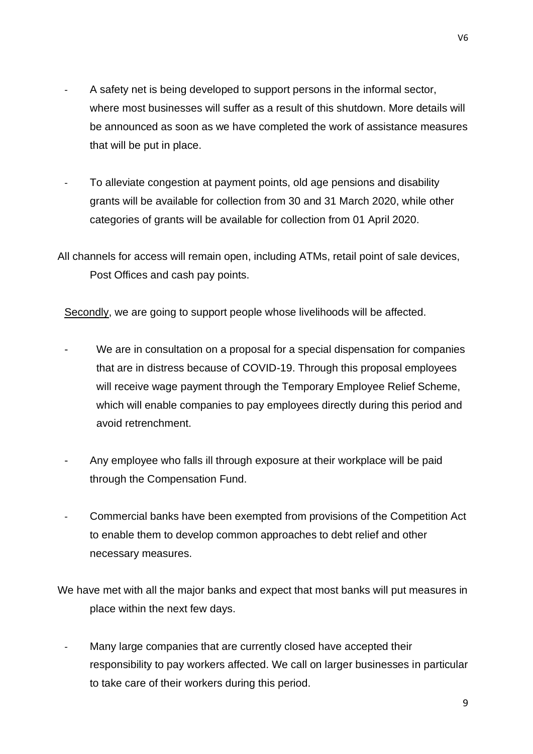- A safety net is being developed to support persons in the informal sector, where most businesses will suffer as a result of this shutdown. More details will be announced as soon as we have completed the work of assistance measures that will be put in place.
- To alleviate congestion at payment points, old age pensions and disability grants will be available for collection from 30 and 31 March 2020, while other categories of grants will be available for collection from 01 April 2020.
- All channels for access will remain open, including ATMs, retail point of sale devices, Post Offices and cash pay points.

Secondly, we are going to support people whose livelihoods will be affected.

- We are in consultation on a proposal for a special dispensation for companies that are in distress because of COVID-19. Through this proposal employees will receive wage payment through the Temporary Employee Relief Scheme, which will enable companies to pay employees directly during this period and avoid retrenchment.
- Any employee who falls ill through exposure at their workplace will be paid through the Compensation Fund.
- Commercial banks have been exempted from provisions of the Competition Act to enable them to develop common approaches to debt relief and other necessary measures.

We have met with all the major banks and expect that most banks will put measures in place within the next few days.

Many large companies that are currently closed have accepted their responsibility to pay workers affected. We call on larger businesses in particular to take care of their workers during this period.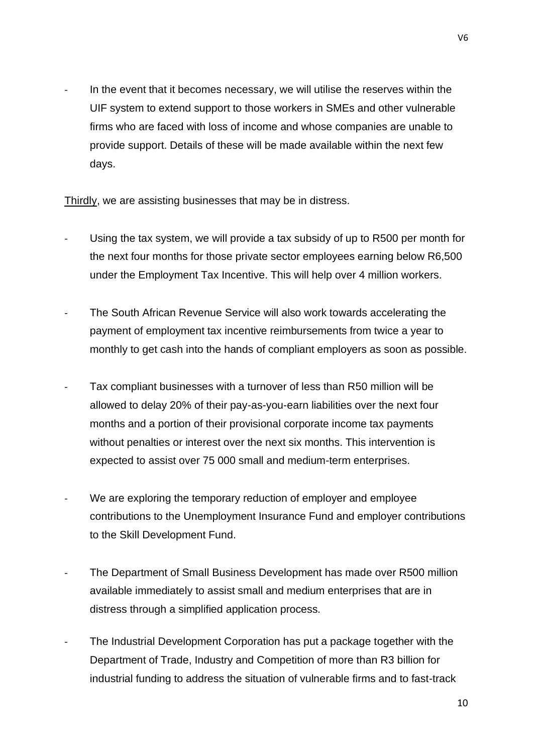In the event that it becomes necessary, we will utilise the reserves within the UIF system to extend support to those workers in SMEs and other vulnerable firms who are faced with loss of income and whose companies are unable to provide support. Details of these will be made available within the next few days.

Thirdly, we are assisting businesses that may be in distress.

- Using the tax system, we will provide a tax subsidy of up to R500 per month for the next four months for those private sector employees earning below R6,500 under the Employment Tax Incentive. This will help over 4 million workers.
- The South African Revenue Service will also work towards accelerating the payment of employment tax incentive reimbursements from twice a year to monthly to get cash into the hands of compliant employers as soon as possible.
- Tax compliant businesses with a turnover of less than R50 million will be allowed to delay 20% of their pay-as-you-earn liabilities over the next four months and a portion of their provisional corporate income tax payments without penalties or interest over the next six months. This intervention is expected to assist over 75 000 small and medium-term enterprises.
- We are exploring the temporary reduction of employer and employee contributions to the Unemployment Insurance Fund and employer contributions to the Skill Development Fund.
- The Department of Small Business Development has made over R500 million available immediately to assist small and medium enterprises that are in distress through a simplified application process.
- The Industrial Development Corporation has put a package together with the Department of Trade, Industry and Competition of more than R3 billion for industrial funding to address the situation of vulnerable firms and to fast-track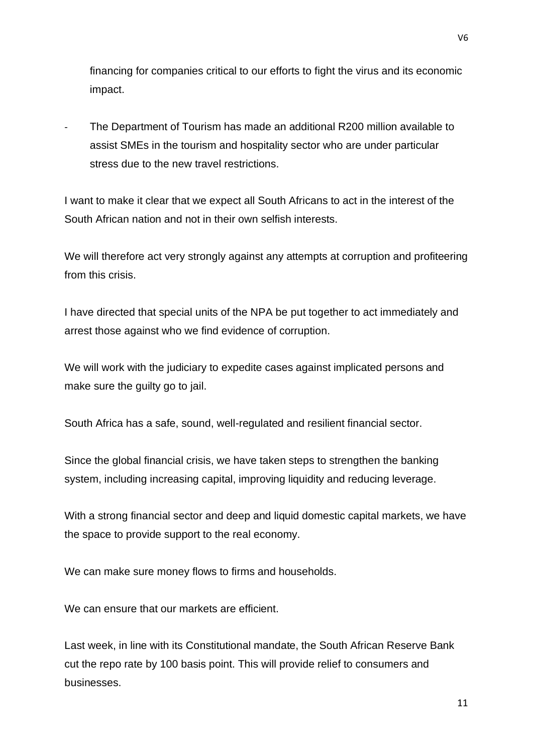financing for companies critical to our efforts to fight the virus and its economic impact.

- The Department of Tourism has made an additional R200 million available to assist SMEs in the tourism and hospitality sector who are under particular stress due to the new travel restrictions.

I want to make it clear that we expect all South Africans to act in the interest of the South African nation and not in their own selfish interests.

We will therefore act very strongly against any attempts at corruption and profiteering from this crisis.

I have directed that special units of the NPA be put together to act immediately and arrest those against who we find evidence of corruption.

We will work with the judiciary to expedite cases against implicated persons and make sure the guilty go to jail.

South Africa has a safe, sound, well-regulated and resilient financial sector.

Since the global financial crisis, we have taken steps to strengthen the banking system, including increasing capital, improving liquidity and reducing leverage.

With a strong financial sector and deep and liquid domestic capital markets, we have the space to provide support to the real economy.

We can make sure money flows to firms and households.

We can ensure that our markets are efficient.

Last week, in line with its Constitutional mandate, the South African Reserve Bank cut the repo rate by 100 basis point. This will provide relief to consumers and businesses.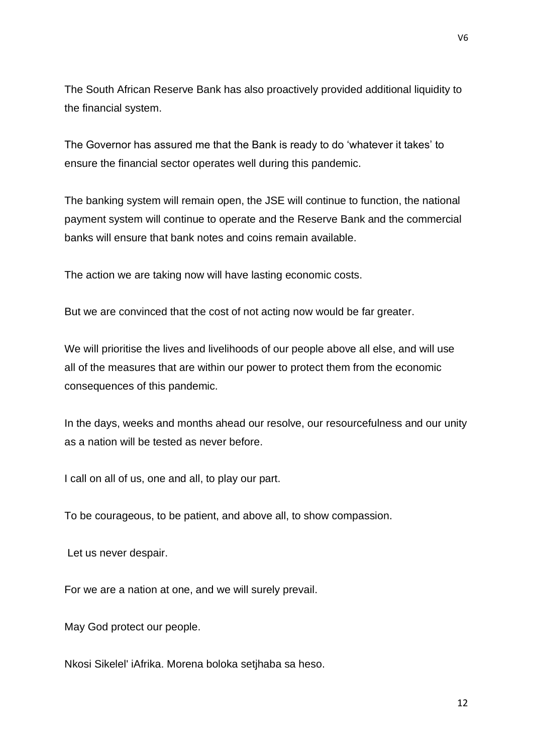The South African Reserve Bank has also proactively provided additional liquidity to the financial system.

The Governor has assured me that the Bank is ready to do 'whatever it takes' to ensure the financial sector operates well during this pandemic.

The banking system will remain open, the JSE will continue to function, the national payment system will continue to operate and the Reserve Bank and the commercial banks will ensure that bank notes and coins remain available.

The action we are taking now will have lasting economic costs.

But we are convinced that the cost of not acting now would be far greater.

We will prioritise the lives and livelihoods of our people above all else, and will use all of the measures that are within our power to protect them from the economic consequences of this pandemic.

In the days, weeks and months ahead our resolve, our resourcefulness and our unity as a nation will be tested as never before.

I call on all of us, one and all, to play our part.

To be courageous, to be patient, and above all, to show compassion.

Let us never despair.

For we are a nation at one, and we will surely prevail.

May God protect our people.

Nkosi Sikelel' iAfrika. Morena boloka setjhaba sa heso.

V6